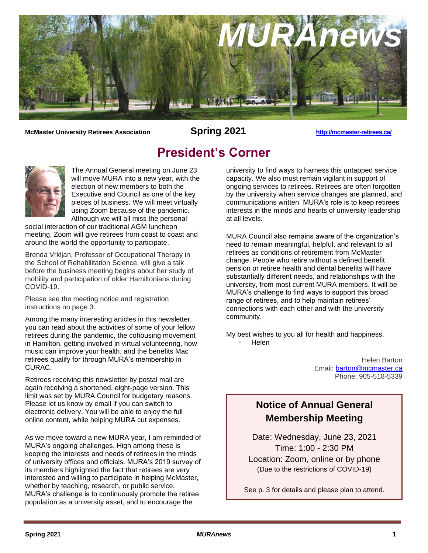

**McMaster University Retirees Association Spring 2021 <http://mcmaster-retirees.ca/>**

# **President's Corner**



The Annual General meeting on June 23 will move MURA into a new year, with the election of new members to both the Executive and Council as one of the key pieces of business. We will meet virtually using Zoom because of the pandemic. Although we will all miss the personal

social interaction of our traditional AGM luncheon meeting, Zoom will give retirees from coast to coast and around the world the opportunity to participate.

Brenda Vrkljan, Professor of Occupational Therapy in the School of Rehabilitation Science, will give a talk before the business meeting begins about her study of mobility and participation of older Hamiltonians during COVID-19.

Please see the meeting notice and registration instructions on page 3.

Among the many interesting articles in this newsletter, you can read about the activities of some of your fellow retirees during the pandemic, the cohousing movement in Hamilton, getting involved in virtual volunteering, how music can improve your health, and the benefits Mac retirees qualify for through MURA's membership in CURAC.

Retirees receiving this newsletter by postal mail are again receiving a shortened, eight-page version. This limit was set by MURA Council for budgetary reasons. Please let us know by email if you can switch to electronic delivery. You will be able to enjoy the full online content, while helping MURA cut expenses.

As we move toward a new MURA year, I am reminded of MURA's ongoing challenges. High among these is keeping the interests and needs of retirees in the minds of university offices and officials. MURA's 2019 survey of its members highlighted the fact that retirees are very interested and willing to participate in helping McMaster, whether by teaching, research, or public service. MURA's challenge is to continuously promote the retiree population as a university asset, and to encourage the

university to find ways to harness this untapped service capacity. We also must remain vigilant in support of ongoing services to retirees. Retirees are often forgotten by the university when service changes are planned, and communications written. MURA's role is to keep retirees' interests in the minds and hearts of university leadership at all levels.

MURA Council also remains aware of the organization's need to remain meaningful, helpful, and relevant to all retirees as conditions of retirement from McMaster change. People who retire without a defined benefit pension or retiree health and dental benefits will have substantially different needs, and relationships with the university, from most current MURA members. It will be MURA's challenge to find ways to support this broad range of retirees, and to help maintain retirees' connections with each other and with the university community.

My best wishes to you all for health and happiness. - Helen

> Helen Barton Email: [barton@mcmaster.ca](mailto:barton@mcmaster.ca) Phone: 905-518-5339

# **Notice of Annual General Membership Meeting**

Date: Wednesday, June 23, 2021 Time: 1:00 - 2:30 PM Location: Zoom, online or by phone (Due to the restrictions of COVID-19)

See p. 3 for details and please plan to attend.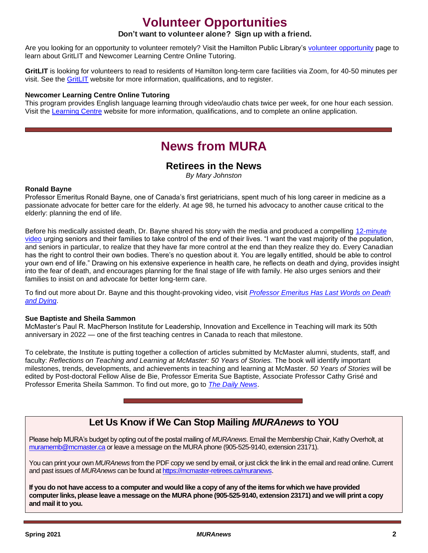# **Volunteer Opportunities**

## **Don't want to volunteer alone? Sign up with a friend.**

Are you looking for an opportunity to volunteer remotely? Visit the Hamilton Public Library's [volunteer opportunity](https://www.hpl.ca/volunteer-opportunities) page to learn about GritLIT and Newcomer Learning Centre Online Tutoring.

**GritLIT** is looking for volunteers to read to residents of Hamilton long-term care facilities via Zoom, for 40-50 minutes per visit. See the [GritLIT](https://www.gritlit.ca/volunteer) website for more information, qualifications, and to register.

#### **Newcomer Learning Centre Online Tutoring**

This program provides English language learning through video/audio chats twice per week, for one hour each session. Visit the [Learning Centre](https://www.hpl.ca/volunteer/newcomer-learning-centre-online-tutoring) website for more information, qualifications, and to complete an online application.

# **News from MURA**

## **Retirees in the News**

*By Mary Johnston*

### **Ronald Bayne**

Professor Emeritus Ronald Bayne, one of Canada's first geriatricians, spent much of his long career in medicine as a passionate advocate for better care for the elderly. At age 98, he turned his advocacy to another cause critical to the elderly: planning the end of life.

Before his medically assisted death, Dr. Bayne shared his story with the media and produced a compelling 12-minute [video](https://vimeo.com/511268822) urging seniors and their families to take control of the end of their lives. "I want the vast majority of the population, and seniors in particular, to realize that they have far more control at the end than they realize they do. Every Canadian has the right to control their own bodies. There's no question about it. You are legally entitled, should be able to control your own end of life." Drawing on his extensive experience in health care, he reflects on death and dying, provides insight into the fear of death, and encourages planning for the final stage of life with family. He also urges seniors and their families to insist on and advocate for better long-term care.

To find out more about Dr. Bayne and this thought-provoking video, visit *[Professor Emeritus Has Last Words on Death](https://dailynews.mcmaster.ca/articles/professor-emeritus-has-last-words-on-death-and-dying/)  [and Dying](https://dailynews.mcmaster.ca/articles/professor-emeritus-has-last-words-on-death-and-dying/)*.

#### **Sue Baptiste and Sheila Sammon**

McMaster's Paul R. MacPherson Institute for Leadership, Innovation and Excellence in Teaching will mark its 50th anniversary in 2022 — one of the first teaching centres in Canada to reach that milestone.

To celebrate, the Institute is putting together a collection of articles submitted by McMaster alumni, students, staff, and faculty: *Reflections on Teaching and Learning at McMaster: 50 Years of Stories*. The book will identify important milestones, trends, developments, and achievements in teaching and learning at McMaster. *50 Years of Stories* will be edited by Post-doctoral Fellow Alise de Bie, Professor Emerita Sue Baptiste, Associate Professor Cathy Grisé and Professor Emerita Sheila Sammon. To find out more, go to *[The Daily News](https://dailynews.mcmaster.ca/articles/macpherson-institute-celebrating-upcoming-50th-anniversary-by-collecting-50-years-of-teaching-stories/)*.

# **Let Us Know if We Can Stop Mailing** *MURAnews* **to YOU**

Please help MURA's budget by opting out of the postal mailing of *MURAnews*. Email the Membership Chair, Kathy Overholt, at [muramemb@mcmaster.ca](mailto:muramemb@mcmaster.ca) or leave a message on the MURA phone (905-525-9140, extension 23171).

You can print your own *MURAnews* from the PDF copy we send by email, or just click the link in the email and read online. Current and past issues of *MURAnews* can be found a[t https://mcmaster-retirees.ca/muranews.](https://mcmaster-retirees.ca/muranews)

**If you do not have access to a computer and would like a copy of any of the items for which we have provided computer links, please leave a message on the MURA phone (905-525-9140, extension 23171) and we will print a copy and mail it to you.**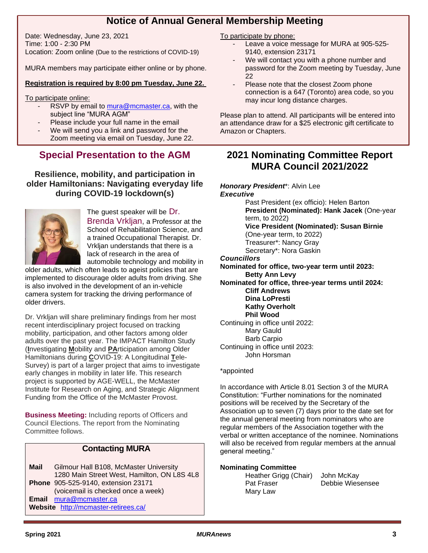# **Notice of Annual General Membership Meeting**

Date: Wednesday, June 23, 2021 Time: 1:00 - 2:30 PM Location: Zoom online (Due to the restrictions of COVID-19)

MURA members may participate either online or by phone.

## **Registration is required by 8:00 pm Tuesday, June 22.**

To participate online:

- RSVP by email to [mura@mcmaster.ca,](mailto:mura@mcmaster.ca) with the subject line "MURA AGM"
- Please include your full name in the email
- We will send you a link and password for the Zoom meeting via email on Tuesday, June 22.

# **Special Presentation to the AGM**

**Resilience, mobility, and participation in older Hamiltonians: Navigating everyday life during COVID-19 lockdown(s)**



The guest speaker will be Dr. Brenda Vrkljan, a Professor at the School of Rehabilitation Science, and a trained Occupational Therapist. Dr. Vrkljan understands that there is a lack of research in the area of automobile technology and mobility in

older adults, which often leads to ageist policies that are implemented to discourage older adults from driving. She is also involved in the development of an in-vehicle camera system for tracking the driving performance of older drivers.

Dr. Vrkljan will share preliminary findings from her most recent interdisciplinary project focused on tracking mobility, participation, and other factors among older adults over the past year. The IMPACT Hamilton Study (**I**nvestigating **M**obility and **PA**rticipation among Older Hamiltonians during **C**OVID-19: A Longitudinal **T**ele-Survey) is part of a larger project that aims to investigate early changes in mobility in later life. This research project is supported by AGE-WELL, the McMaster Institute for Research on Aging, and Strategic Alignment Funding from the Office of the McMaster Provost.

**Business Meeting:** Including reports of Officers and Council Elections. The report from the Nominating Committee follows.

## **Contacting MURA**

**Mail** Gilmour Hall B108, McMaster University 1280 Main Street West, Hamilton, ON L8S 4L8 **Phone** 905-525-9140, extension 23171 (voicemail is checked once a week) **Email** [mura@mcmaster.ca](mailto:mura@mcmaster.ca) **Website** <http://mcmaster-retirees.ca/>

To participate by phone:

- Leave a voice message for MURA at 905-525-9140, extension 23171
- We will contact you with a phone number and password for the Zoom meeting by Tuesday, June 22
- Please note that the closest Zoom phone connection is a 647 (Toronto) area code, so you may incur long distance charges.

Please plan to attend. All participants will be entered into an attendance draw for a \$25 electronic gift certificate to Amazon or Chapters.

# **2021 Nominating Committee Report MURA Council 2021/2022**

*Honorary President*\*: Alvin Lee

*Executive*

Past President (ex officio): Helen Barton **President (Nominated): Hank Jacek** (One-year term, to 2022) **Vice President (Nominated): Susan Birnie**  (One-year term, to 2022) Treasurer\*: Nancy Gray Secretary\*: Nora Gaskin *Councillors*

**Nominated for office, two-year term until 2023: Betty Ann Levy**

**Nominated for office, three-year terms until 2024: Cliff Andrews Dina LoPresti Kathy Overholt**

## **Phil Wood**

Continuing in office until 2022: Mary Gauld Barb Carpio Continuing in office until 2023: John Horsman

## \*appointed

In accordance with Article 8.01 Section 3 of the MURA Constitution: "Further nominations for the nominated positions will be received by the Secretary of the Association up to seven (7) days prior to the date set for the annual general meeting from nominators who are regular members of the Association together with the verbal or written acceptance of the nominee. Nominations will also be received from regular members at the annual general meeting."

## **Nominating Committee**

Heather Grigg (Chair) John McKay Pat Fraser Debbie Wiesensee Mary Law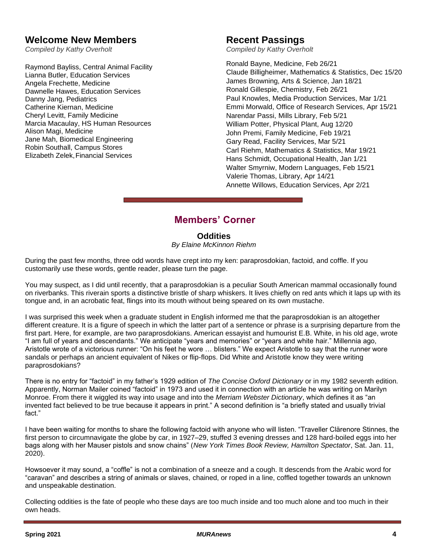# **Welcome New Members**

*Compiled by Kathy Overholt*

Raymond Bayliss, Central Animal Facility Lianna Butler, Education Services Angela Frechette, Medicine Dawnelle Hawes, Education Services Danny Jang, Pediatrics Catherine Kiernan, Medicine Cheryl Levitt, Family Medicine Marcia Macaulay, HS Human Resources Alison Magi, Medicine Jane Mah, Biomedical Engineering Robin Southall, Campus Stores Elizabeth Zelek,Financial Services

# **Recent Passings**

*Compiled by Kathy Overholt*

Ronald Bayne, Medicine, Feb 26/21 Claude Billigheimer, Mathematics & Statistics, Dec 15/20 James Browning, Arts & Science, Jan 18/21 Ronald Gillespie, Chemistry, Feb 26/21 Paul Knowles, Media Production Services, Mar 1/21 Emmi Morwald, Office of Research Services, Apr 15/21 Narendar Passi, Mills Library, Feb 5/21 William Potter, Physical Plant, Aug 12/20 John Premi, Family Medicine, Feb 19/21 Gary Read, Facility Services, Mar 5/21 Carl Riehm, Mathematics & Statistics, Mar 19/21 Hans Schmidt, Occupational Health, Jan 1/21 Walter Smyrniw, Modern Languages, Feb 15/21 Valerie Thomas, Library, Apr 14/21 Annette Willows, Education Services, Apr 2/21

# **Members' Corner**

# **Oddities**

*By Elaine McKinnon Riehm*

During the past few months, three odd words have crept into my ken: paraprosdokian, factoid, and coffle. If you customarily use these words, gentle reader, please turn the page.

You may suspect, as I did until recently, that a paraprosdokian is a peculiar South American mammal occasionally found on riverbanks. This riverain sports a distinctive bristle of sharp whiskers. It lives chiefly on red ants which it laps up with its tongue and, in an acrobatic feat, flings into its mouth without being speared on its own mustache.

I was surprised this week when a graduate student in English informed me that the paraprosdokian is an altogether different creature. It is a figure of speech in which the latter part of a sentence or phrase is a surprising departure from the first part. Here, for example, are two paraprosdokians. American essayist and humourist E.B. White, in his old age, wrote "I am full of years and descendants." We anticipate "years and memories" or "years and white hair." Millennia ago, Aristotle wrote of a victorious runner: "On his feet he wore … blisters." We expect Aristotle to say that the runner wore sandals or perhaps an ancient equivalent of Nikes or flip-flops. Did White and Aristotle know they were writing paraprosdokians?

There is no entry for "factoid" in my father's 1929 edition of *The Concise Oxford Dictionary* or in my 1982 seventh edition*.*  Apparently, Norman Mailer coined "factoid" in 1973 and used it in connection with an article he was writing on Marilyn Monroe. From there it wiggled its way into usage and into the *Merriam Webster Dictionary*, which defines it as "an invented fact believed to be true because it appears in print." A second definition is "a briefly stated and usually trivial fact."

I have been waiting for months to share the following factoid with anyone who will listen. "Traveller Clärenore Stinnes, the first person to circumnavigate the globe by car, in 1927–29, stuffed 3 evening dresses and 128 hard-boiled eggs into her bags along with her Mauser pistols and snow chains" (*New York Times Book Review, Hamilton Spectator*, Sat. Jan. 11, 2020).

Howsoever it may sound, a "coffle" is not a combination of a sneeze and a cough. It descends from the Arabic word for "caravan" and describes a string of animals or slaves, chained, or roped in a line, coffled together towards an unknown and unspeakable destination.

Collecting oddities is the fate of people who these days are too much inside and too much alone and too much in their own heads.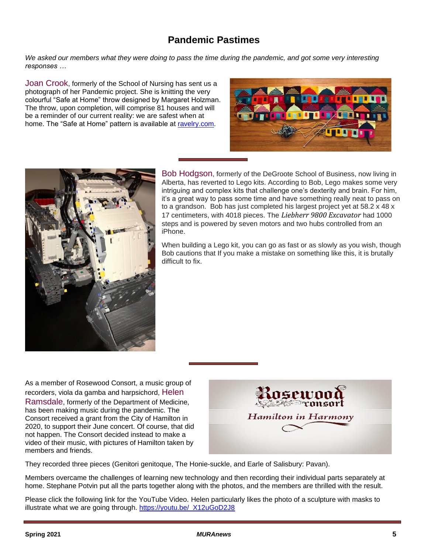# **Pandemic Pastimes**

*We asked our members what they were doing to pass the time during the pandemic, and got some very interesting responses …*

Joan Crook, formerly of the School of Nursing has sent us a photograph of her Pandemic project. She is knitting the very colourful "Safe at Home" throw designed by Margaret Holzman. The throw, upon completion, will comprise 81 houses and will be a reminder of our current reality: we are safest when at home. The "Safe at Home" pattern is available at [ravelry.com.](https://www.ravelry.com/account/login)





Bob Hodgson, formerly of the DeGroote School of Business, now living in Alberta, has reverted to Lego kits. According to Bob, Lego makes some very intriguing and complex kits that challenge one's dexterity and brain. For him, it's a great way to pass some time and have something really neat to pass on to a grandson. Bob has just completed his largest project yet at 58.2 x 48 x 17 centimeters, with 4018 pieces. The *Liebherr 9800 Excavator* had 1000 steps and is powered by seven motors and two hubs controlled from an iPhone.

When building a Lego kit, you can go as fast or as slowly as you wish, though Bob cautions that If you make a mistake on something like this, it is brutally difficult to fix.

As a member of Rosewood Consort, a music group of recorders, viola da gamba and harpsichord, Helen Ramsdale, formerly of the Department of Medicine, has been making music during the pandemic. The Consort received a grant from the City of Hamilton in 2020, to support their June concert. Of course, that did not happen. The Consort decided instead to make a video of their music, with pictures of Hamilton taken by members and friends.



They recorded three pieces (Genitori genitoque, The Honie-suckle, and Earle of Salisbury: Pavan).

Members overcame the challenges of learning new technology and then recording their individual parts separately at home. Stephane Potvin put all the parts together along with the photos, and the members are thrilled with the result.

Please click the following link for the YouTube Video. Helen particularly likes the photo of a sculpture with masks to illustrate what we are going through. [https://youtu.be/\\_X12uGoD2J8](https://youtu.be/_X12uGoD2J8)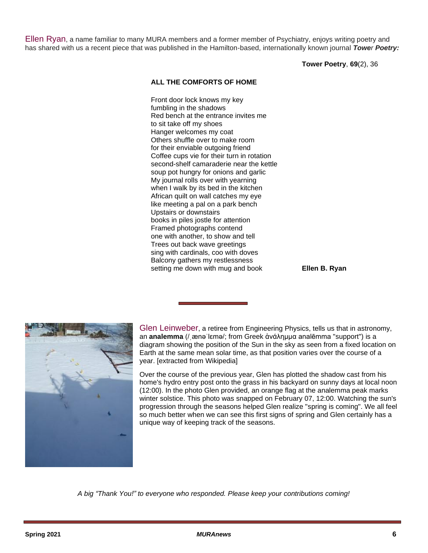Ellen Ryan, a name familiar to many MURA members and a former member of Psychiatry, enjoys writing poetry and has shared with us a recent piece that was published in the Hamilton-based, internationally known journal *Tower Poetry:*

**Tower Poetry**, **69**(2), 36

### **ALL THE COMFORTS OF HOME**

Front door lock knows my key fumbling in the shadows Red bench at the entrance invites me to sit take off my shoes Hanger welcomes my coat Others shuffle over to make room for their enviable outgoing friend Coffee cups vie for their turn in rotation second-shelf camaraderie near the kettle soup pot hungry for onions and garlic My journal rolls over with yearning when I walk by its bed in the kitchen African quilt on wall catches my eye like meeting a pal on a park bench Upstairs or downstairs books in piles jostle for attention Framed photographs contend one with another, to show and tell Trees out back wave greetings sing with cardinals, coo with doves Balcony gathers my restlessness setting me down with mug and book **Ellen B. Ryan**



Glen Leinweber, a retiree from Engineering Physics, tells us that in astronomy, an **analemma** (/ˌænəˈlɛmə/; from Greek ἀνάλημμα analēmma "support") is a diagram showing the position of the Sun in the sky as seen from a fixed location on Earth at the same mean solar time, as that position varies over the course of a year. [extracted from Wikipedia]

Over the course of the previous year, Glen has plotted the shadow cast from his home's hydro entry post onto the grass in his backyard on sunny days at local noon (12:00). In the photo Glen provided, an orange flag at the analemma peak marks winter solstice. This photo was snapped on February 07, 12:00. Watching the sun's progression through the seasons helped Glen realize "spring is coming". We all feel so much better when we can see this first signs of spring and Glen certainly has a unique way of keeping track of the seasons.

*A big "Thank You!" to everyone who responded. Please keep your contributions coming!*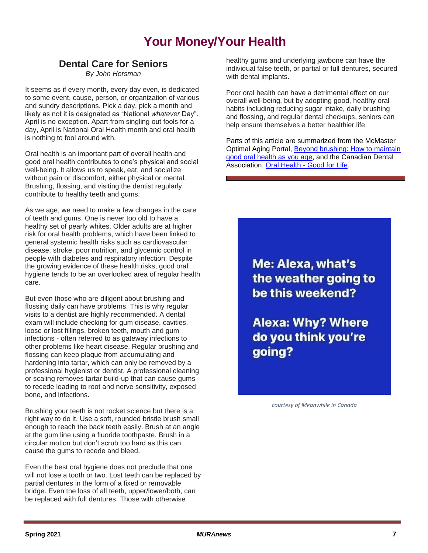# **Your Money/Your Health**

# **Dental Care for Seniors**

*By John Horsman*

It seems as if every month, every day even, is dedicated to some event, cause, person, or organization of various and sundry descriptions. Pick a day, pick a month and likely as not it is designated as "National *whatever* Day". April is no exception. Apart from singling out fools for a day, April is National Oral Health month and oral health is nothing to fool around with.

Oral health is an important part of overall health and good oral health contributes to one's physical and social well-being. It allows us to speak, eat, and socialize without pain or discomfort, either physical or mental. Brushing, flossing, and visiting the dentist regularly contribute to healthy teeth and gums.

As we age, we need to make a few changes in the care of teeth and gums. One is never too old to have a healthy set of pearly whites. Older adults are at higher risk for oral health problems, which have been linked to general systemic health risks such as cardiovascular disease, stroke, poor nutrition, and glycemic control in people with diabetes and respiratory infection. Despite the growing evidence of these health risks, good oral hygiene tends to be an overlooked area of regular health care.

But even those who are diligent about brushing and flossing daily can have problems. This is why regular visits to a dentist are highly recommended. A dental exam will include checking for gum disease, cavities, loose or lost fillings, broken teeth, mouth and gum infections - often referred to as gateway infections to other problems like heart disease. Regular brushing and flossing can keep plaque from accumulating and hardening into tartar, which can only be removed by a professional hygienist or dentist. A professional cleaning or scaling removes tartar build-up that can cause gums to recede leading to root and nerve sensitivity, exposed bone, and infections.

Brushing your teeth is not rocket science but there is a right way to do it. Use a soft, rounded bristle brush small enough to reach the back teeth easily. Brush at an angle at the gum line using a fluoride toothpaste. Brush in a circular motion but don't scrub too hard as this can cause the gums to recede and bleed.

Even the best oral hygiene does not preclude that one will not lose a tooth or two. Lost teeth can be replaced by partial dentures in the form of a fixed or removable bridge. Even the loss of all teeth, upper/lower/both, can be replaced with full dentures. Those with otherwise

healthy gums and underlying jawbone can have the individual false teeth, or partial or full dentures, secured with dental implants.

Poor oral health can have a detrimental effect on our overall well-being, but by adopting good, healthy oral habits including reducing sugar intake, daily brushing and flossing, and regular dental checkups, seniors can help ensure themselves a better healthier life.

Parts of this article are summarized from the McMaster Optimal Aging Portal, [Beyond brushing: How to maintain](https://www.mcmasteroptimalaging.org/hitting-the-headlines/detail/hitting-the-headlines/2021/03/31/beyond-brushing-how-to-maintain-good-oral-health-as-you-age)  [good oral health as you age,](https://www.mcmasteroptimalaging.org/hitting-the-headlines/detail/hitting-the-headlines/2021/03/31/beyond-brushing-how-to-maintain-good-oral-health-as-you-age) and the Canadian Dental Association, Oral Health - [Good for Life.](http://www.cda-adc.ca/en/oral_health/cfyt/good_for_life/)

> Me: Alexa, what's the weather going to be this weekend?

**Alexa: Why? Where** do you think you're going?

*courtesy of Meanwhile in Canada*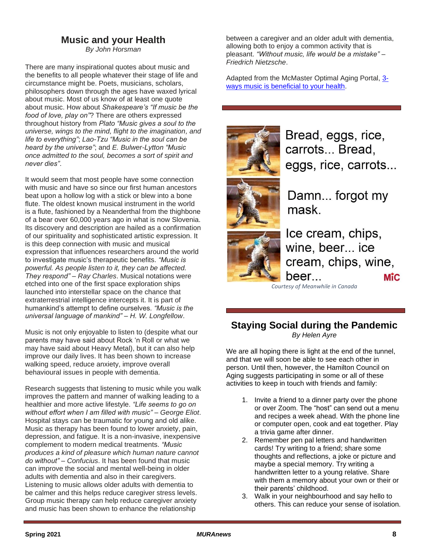# **Music and your Health**

*By John Horsman*

There are many inspirational quotes about music and the benefits to all people whatever their stage of life and circumstance might be. Poets, musicians, scholars, philosophers down through the ages have waxed lyrical about music. Most of us know of at least one quote about music. How about *Shakespeare's "If music be the food of love, play on"*? There are others expressed throughout history from *Plato "Music gives a soul to the universe, wings to the mind, flight to the imagination, and life to everything"*; *Lao-Tzu "Music in the soul can be heard by the universe"*; and *E. Bulwer-Lytton "Music once admitted to the soul, becomes a sort of spirit and never dies"*.

It would seem that most people have some connection with music and have so since our first human ancestors beat upon a hollow log with a stick or blew into a bone flute. The oldest known musical instrument in the world is a flute, fashioned by a Neanderthal from the thighbone of a bear over 60,000 years ago in what is now Slovenia. Its discovery and description are hailed as a confirmation of our spirituality and sophisticated artistic expression. It is this deep connection with music and musical expression that influences researchers around the world to investigate music's therapeutic benefits. *"Music is powerful. As people listen to it, they can be affected. They respond" – Ray Charles*. Musical notations were etched into one of the first space exploration ships launched into interstellar space on the chance that extraterrestrial intelligence intercepts it. It is part of humankind's attempt to define ourselves. *"Music is the universal language of mankind" – H. W. Longfellow*.

Music is not only enjoyable to listen to (despite what our parents may have said about Rock 'n Roll or what we may have said about Heavy Metal), but it can also help improve our daily lives. It has been shown to increase walking speed, reduce anxiety, improve overall behavioural issues in people with dementia.

Research suggests that listening to music while you walk improves the pattern and manner of walking leading to a healthier and more active lifestyle. *"Life seems to go on without effort when I am filled with music" – George Eliot*. Hospital stays can be traumatic for young and old alike. Music as therapy has been found to lower anxiety, pain, depression, and fatigue. It is a non-invasive, inexpensive complement to modern medical treatments. *"Music produces a kind of pleasure which human nature cannot do without" – Confucius*. It has been found that music can improve the social and mental well-being in older adults with dementia and also in their caregivers. Listening to music allows older adults with dementia to be calmer and this helps reduce caregiver stress levels. Group music therapy can help reduce caregiver anxiety and music has been shown to enhance the relationship

between a caregiver and an older adult with dementia, allowing both to enjoy a common activity that is pleasant. *"Without music, life would be a mistake" – Friedrich Nietzsche*.

Adapted from the McMaster Optimal Aging Portal, [3](https://www.mcmasteroptimalaging.org/blog/detail/hitting-the-headlines/2021/03/15/3-ways-music-is-beneficial-to-your-health?sid=a611afe5-d37d-4330-ab4f-85809e001046&hl=music) [ways music is beneficial to your health.](https://www.mcmasteroptimalaging.org/blog/detail/hitting-the-headlines/2021/03/15/3-ways-music-is-beneficial-to-your-health?sid=a611afe5-d37d-4330-ab4f-85809e001046&hl=music)



Bread, eggs, rice, carrots... Bread. eggs, rice, carrots...



Damn... forgot my mask



Ice cream, chips, wine, beer... ice cream, chips, wine, beer... **M**ic

*Courtesy of Meanwhile in Canada*

## **Staying Social during the Pandemic** *By Helen Ayre*

We are all hoping there is light at the end of the tunnel, and that we will soon be able to see each other in person. Until then, however, the Hamilton Council on Aging suggests participating in some or all of these activities to keep in touch with friends and family:

- 1. Invite a friend to a dinner party over the phone or over Zoom. The "host" can send out a menu and recipes a week ahead. With the phone line or computer open, cook and eat together. Play a trivia game after dinner.
- 2. Remember pen pal letters and handwritten cards! Try writing to a friend; share some thoughts and reflections, a joke or picture and maybe a special memory. Try writing a handwritten letter to a young relative. Share with them a memory about your own or their or their parents' childhood.
- 3. Walk in your neighbourhood and say hello to others. This can reduce your sense of isolation.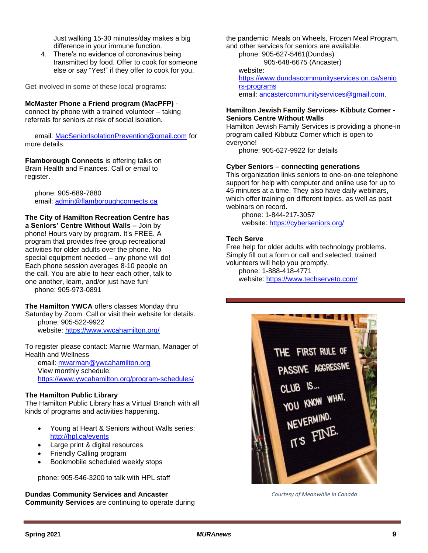Just walking 15-30 minutes/day makes a big difference in your immune function.

4. There's no evidence of coronavirus being transmitted by food. Offer to cook for someone else or say "Yes!" if they offer to cook for you.

Get involved in some of these local programs:

#### **McMaster Phone a Friend program (MacPFP)** -

connect by phone with a trained volunteer – taking referrals for seniors at risk of social isolation.

email: [MacSeniorIsolationPrevention@gmail.com](mailto:MacSeniorIsolationPrevention@gmail.com) for more details.

**Flamborough Connects** is offering talks on Brain Health and Finances. Call or email to register.

phone: 905-689-7880 email: [admin@flamboroughconnects.ca](mailto:admin@flamboroughconnects.ca)

# **The City of Hamilton Recreation Centre has**

**a Seniors' Centre Without Walls –** Join by phone! Hours vary by program. It's FREE. A program that provides free group recreational activities for older adults over the phone. No special equipment needed – any phone will do! Each phone session averages 8-10 people on the call. You are able to hear each other, talk to one another, learn, and/or just have fun! phone: 905-973-0891

**The Hamilton YWCA** offers classes Monday thru Saturday by Zoom. Call or visit their website for details. phone: 905-522-9922 website: <https://www.ywcahamilton.org/>

To register please contact: Marnie Warman, Manager of Health and Wellness

email: [mwarman@ywcahamilton.org](mailto:mwarman@ywcahamilton.org) View monthly schedule: <https://www.ywcahamilton.org/program-schedules/>

## **The Hamilton Public Library**

The Hamilton Public Library has a Virtual Branch with all kinds of programs and activities happening.

- Young at Heart & Seniors without Walls series: <http://hpl.ca/events>
- Large print & digital resources
- Friendly Calling program
- Bookmobile scheduled weekly stops

phone: 905-546-3200 to talk with HPL staff

**Dundas Community Services and Ancaster Community Services** are continuing to operate during the pandemic: Meals on Wheels, Frozen Meal Program, and other services for seniors are available.

phone: 905-627-5461(Dundas)

905-648-6675 (Ancaster)

website: [https://www.dundascommunityservices.on.ca/senio](https://www.dundascommunityservices.on.ca/seniors-programs) [rs-programs](https://www.dundascommunityservices.on.ca/seniors-programs) email: [ancastercommunityservices@gmail.com.](mailto:ancastercommunityservices@gmail.com)

### **Hamilton Jewish Family Services- Kibbutz Corner - Seniors Centre Without Walls**

Hamilton Jewish Family Services is providing a phone-in program called Kibbutz Corner which is open to everyone!

phone: 905-627-9922 for details

### **Cyber Seniors – connecting generations**

This organization links seniors to one-on-one telephone support for help with computer and online use for up to 45 minutes at a time. They also have daily webinars, which offer training on different topics, as well as past webinars on record.

phone: 1-844-217-3057 website:<https://cyberseniors.org/>

## **Tech Serve**

Free help for older adults with technology problems. Simply fill out a form or call and selected, trained volunteers will help you promptly. phone: 1-888-418-4771 website:<https://www.techserveto.com/>



*Courtesy of Meanwhile in Canada*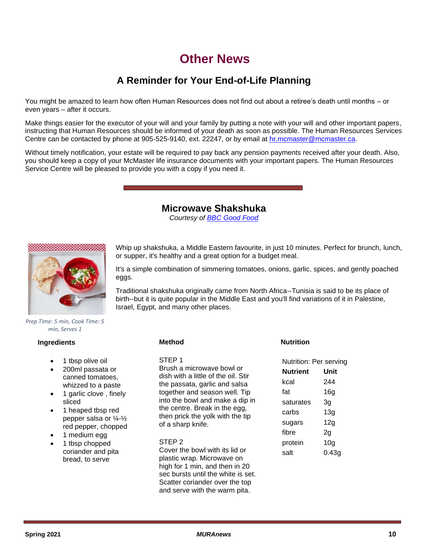# **Other News**

# **A Reminder for Your End-of-Life Planning**

You might be amazed to learn how often Human Resources does not find out about a retiree's death until months – or even years – after it occurs.

Make things easier for the executor of your will and your family by putting a note with your will and other important papers, instructing that Human Resources should be informed of your death as soon as possible. The Human Resources Services Centre can be contacted by phone at 905-525-9140, ext. 22247, or by email at [hr.mcmaster@mcmaster.ca.](mailto:hr.mcmaster@mcmaster.ca)

Without timely notification, your estate will be required to pay back any pension payments received after your death. Also, you should keep a copy of your McMaster life insurance documents with your important papers. The Human Resources Service Centre will be pleased to provide you with a copy if you need it.

## **Microwave Shakshuka**

*Courtesy of [BBC Good Food](https://www.bbcgoodfood.com/recipes/microwave-shakshuka)*



Whip up shakshuka, a Middle Eastern favourite, in just 10 minutes. Perfect for brunch, lunch, or supper, it's healthy and a great option for a budget meal.

It's a simple combination of simmering tomatoes, onions, garlic, spices, and gently poached eggs.

Traditional shakshuka originally came from North Africa--Tunisia is said to be its place of birth--but it is quite popular in the Middle East and you'll find variations of it in Palestine, Israel, Egypt, and many other places.

*Prep Time: 5 min, Cook Time: 5 min, Serves 1*

### **Ingredients**

- 1 tbsp olive oil
- 200ml passata or canned tomatoes, whizzed to a paste
- 1 garlic clove , finely sliced
- 1 heaped tbsp red pepper salsa or ¼-½ red pepper, chopped
- 1 medium egg
- 1 tbsp chopped coriander and pita bread, to serve

### **Method**

STEP 1

Brush a microwave bowl or dish with a little of the oil. Stir the passata, garlic and salsa together and season well. Tip into the bowl and make a dip in the centre. Break in the egg, then prick the yolk with the tip of a sharp knife.

#### STEP 2

Cover the bowl with its lid or plastic wrap. Microwave on high for 1 min, and then in 20 sec bursts until the white is set. Scatter coriander over the top and serve with the warm pita.

## **Nutrition**

Nutrition: Per serving **Nutrient Unit** kcal 244 fat 16g saturates 3g carbs 13g sugars 12g fibre 2g protein 10g salt 0.43g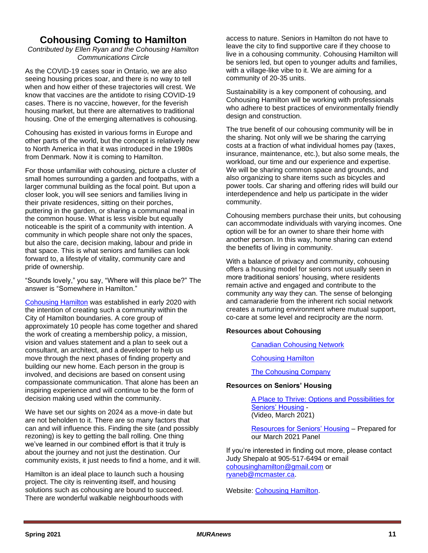# **Cohousing Coming to Hamilton**

*Contributed by Ellen Ryan and the Cohousing Hamilton Communications Circle*

As the COVID-19 cases soar in Ontario, we are also seeing housing prices soar, and there is no way to tell when and how either of these trajectories will crest. We know that vaccines are the antidote to rising COVID-19 cases. There is no vaccine, however, for the feverish housing market, but there are alternatives to traditional housing. One of the emerging alternatives is cohousing.

Cohousing has existed in various forms in Europe and other parts of the world, but the concept is relatively new to North America in that it was introduced in the 1980s from Denmark. Now it is coming to Hamilton.

For those unfamiliar with cohousing, picture a cluster of small homes surrounding a garden and footpaths, with a larger communal building as the focal point. But upon a closer look, you will see seniors and families living in their private residences, sitting on their porches, puttering in the garden, or sharing a communal meal in the common house. What is less visible but equally noticeable is the spirit of a community with intention. A community in which people share not only the spaces, but also the care, decision making, labour and pride in that space. This is what seniors and families can look forward to, a lifestyle of vitality, community care and pride of ownership.

"Sounds lovely," you say, "Where will this place be?" The answer is "Somewhere in Hamilton."

[Cohousing Hamilton](https://cohousinghamilton.ca/) was established in early 2020 with the intention of creating such a community within the City of Hamilton boundaries. A core group of approximately 10 people has come together and shared the work of creating a membership policy, a mission, vision and values statement and a plan to seek out a consultant, an architect, and a developer to help us move through the next phases of finding property and building our new home. Each person in the group is involved, and decisions are based on consent using compassionate communication. That alone has been an inspiring experience and will continue to be the form of decision making used within the community.

We have set our sights on 2024 as a move-in date but are not beholden to it. There are so many factors that can and will influence this. Finding the site (and possibly rezoning) is key to getting the ball rolling. One thing we've learned in our combined effort is that it truly is about the journey and not just the destination. Our community exists, it just needs to find a home, and it will.

Hamilton is an ideal place to launch such a housing project. The city is reinventing itself, and housing solutions such as cohousing are bound to succeed. There are wonderful walkable neighbourhoods with

access to nature. Seniors in Hamilton do not have to leave the city to find supportive care if they choose to live in a cohousing community. Cohousing Hamilton will be seniors led, but open to younger adults and families, with a village-like vibe to it. We are aiming for a community of 20-35 units.

Sustainability is a key component of cohousing, and Cohousing Hamilton will be working with professionals who adhere to best practices of environmentally friendly design and construction.

The true benefit of our cohousing community will be in the sharing. Not only will we be sharing the carrying costs at a fraction of what individual homes pay (taxes, insurance, maintenance, etc.), but also some meals, the workload, our time and our experience and expertise. We will be sharing common space and grounds, and also organizing to share items such as bicycles and power tools. Car sharing and offering rides will build our interdependence and help us participate in the wider community.

Cohousing members purchase their units, but cohousing can accommodate individuals with varying incomes. One option will be for an owner to share their home with another person. In this way, home sharing can extend the benefits of living in community.

With a balance of privacy and community, cohousing offers a housing model for seniors not usually seen in more traditional seniors' housing, where residents remain active and engaged and contribute to the community any way they can. The sense of belonging and camaraderie from the inherent rich social network creates a nurturing environment where mutual support, co-care at some level and reciprocity are the norm.

## **Resources about Cohousing**

[Canadian Cohousing Network](https://cohousing.ca/)

[Cohousing Hamilton](https://cohousinghamilton.ca/)

[The Cohousing Company](http://www.cohousingco.com/)

#### **Resources on Seniors' Housing**

[A Place to Thrive: Options and Possibilities for](https://www.youtube.com/watch?v=uctT-VkYIoo)  [Seniors' Housing](https://www.youtube.com/watch?v=uctT-VkYIoo) - (Video, March 2021)

[Resources for Seniors' Housing](https://drive.google.com/drive/u/0/folders/1rEjqVmcXlYR7ihO5NWHJU5ug_0VlfDGO) – Prepared for our March 2021 Panel

If you're interested in finding out more, please contact Judy Shepalo at 905-517-6494 or email [cohousinghamilton@gmail.com](mailto:cohousinghamilton@gmail.com) or [ryaneb@mcmaster.ca.](mailto:ryaneb@mcmaster.ca)

Website: [Cohousing Hamilton.](https://cohousinghamilton.ca/)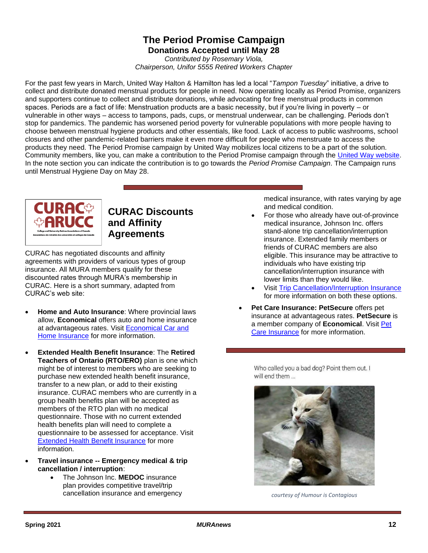# **The Period Promise Campaign Donations Accepted until May 28**

*Contributed by Rosemary Viola, Chairperson, Unifor 5555 Retired Workers Chapter*

For the past few years in March, United Way Halton & Hamilton has led a local "*Tampon Tuesday*" initiative, a drive to collect and distribute donated menstrual products for people in need. Now operating locally as Period Promise, organizers and supporters continue to collect and distribute donations, while advocating for free menstrual products in common spaces. Periods are a fact of life: Menstruation products are a basic necessity, but if you're living in poverty – or vulnerable in other ways – access to tampons, pads, cups, or menstrual underwear, can be challenging. Periods don't stop for pandemics. The pandemic has worsened period poverty for vulnerable populations with more people having to choose between menstrual hygiene products and other essentials, like food. Lack of access to public washrooms, school closures and other pandemic-related barriers make it even more difficult for people who menstruate to access the products they need. The Period Promise campaign by United Way mobilizes local citizens to be a part of the solution. Community members, like you, can make a contribution to the Period Promise campaign through the [United Way website.](https://give.unitedway.ca/donate/WHAMIL) In the note section you can indicate the contribution is to go towards the *Period Promise Campaign*. The Campaign runs until Menstrual Hygiene Day on May 28.



# **CURAC Discounts and Affinity Agreements**

CURAC has negotiated discounts and affinity agreements with providers of various types of group insurance. All MURA members qualify for these discounted rates through MURA's membership in CURAC. Here is a short summary, adapted from CURAC's web site:

- **Home and Auto Insurance: Where provincial laws** allow, **Economical** offers auto and home insurance at advantageous rates. Visit [Economical Car and](https://curac.ca/members-benefits/economical-ha-e/)  [Home Insurance](https://curac.ca/members-benefits/economical-ha-e/) for more information.
- **Extended Health Benefit Insurance**: The **Retired Teachers of Ontario (RTO/ERO)** plan is one which might be of interest to members who are seeking to purchase new extended health benefit insurance, transfer to a new plan, or add to their existing insurance. CURAC members who are currently in a group health benefits plan will be accepted as members of the RTO plan with no medical questionnaire. Those with no current extended health benefits plan will need to complete a questionnaire to be assessed for acceptance. Visit [Extended Health Benefit Insurance](https://curac.ca/members-benefits/rto-health/) for more information.
- **Travel insurance -- Emergency medical & trip cancellation / interruption**:
	- The Johnson Inc. **MEDOC** insurance plan provides competitive travel/trip cancellation insurance and emergency

medical insurance, with rates varying by age and medical condition.

- For those who already have out-of-province medical insurance, Johnson Inc. offers stand-alone trip cancellation/interruption insurance. Extended family members or friends of CURAC members are also eligible. This insurance may be attractive to individuals who have existing trip cancellation/interruption insurance with lower limits than they would like.
- Visit [Trip Cancellation/Interruption Insurance](https://curac.ca/members-benefits/tc-ti/) for more information on both these options.
- **Pet Care Insurance: PetSecure** offers pet insurance at advantageous rates. **PetSecure** is a member company of **Economical**. Visit [Pet](https://curac.ca/members-benefits/economical-pet/)  [Care Insurance](https://curac.ca/members-benefits/economical-pet/) for more information.

Who called you a bad dog? Point them out. I will end them ...



*courtesy of Humour is Contagious*